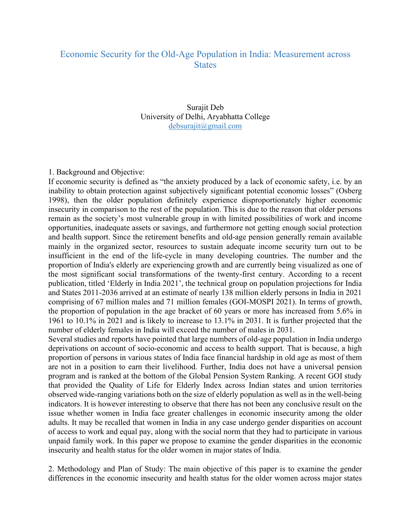## Economic Security for the Old-Age Population in India: Measurement across **States**

Surajit Deb University of Delhi, Aryabhatta College debsurajit@gmail.com

1. Background and Objective:

If economic security is defined as "the anxiety produced by a lack of economic safety, i.e. by an inability to obtain protection against subjectively significant potential economic losses" (Osberg 1998), then the older population definitely experience disproportionately higher economic insecurity in comparison to the rest of the population. This is due to the reason that older persons remain as the society's most vulnerable group in with limited possibilities of work and income opportunities, inadequate assets or savings, and furthermore not getting enough social protection and health support. Since the retirement benefits and old-age pension generally remain available mainly in the organized sector, resources to sustain adequate income security turn out to be insufficient in the end of the life-cycle in many developing countries. The number and the proportion of India's elderly are experiencing growth and are currently being visualized as one of the most significant social transformations of the twenty-first century. According to a recent publication, titled 'Elderly in India 2021', the technical group on population projections for India and States 2011-2036 arrived at an estimate of nearly 138 million elderly persons in India in 2021 comprising of 67 million males and 71 million females (GOI-MOSPI 2021). In terms of growth, the proportion of population in the age bracket of 60 years or more has increased from 5.6% in 1961 to 10.1% in 2021 and is likely to increase to 13.1% in 2031. It is further projected that the number of elderly females in India will exceed the number of males in 2031.

Several studies and reports have pointed that large numbers of old-age population in India undergo deprivations on account of socio-economic and access to health support. That is because, a high proportion of persons in various states of India face financial hardship in old age as most of them are not in a position to earn their livelihood. Further, India does not have a universal pension program and is ranked at the bottom of the Global Pension System Ranking. A recent GOI study that provided the Quality of Life for Elderly Index across Indian states and union territories observed wide-ranging variations both on the size of elderly population as well as in the well-being indicators. It is however interesting to observe that there has not been any conclusive result on the issue whether women in India face greater challenges in economic insecurity among the older adults. It may be recalled that women in India in any case undergo gender disparities on account of access to work and equal pay, along with the social norm that they had to participate in various unpaid family work. In this paper we propose to examine the gender disparities in the economic insecurity and health status for the older women in major states of India.

2. Methodology and Plan of Study: The main objective of this paper is to examine the gender differences in the economic insecurity and health status for the older women across major states